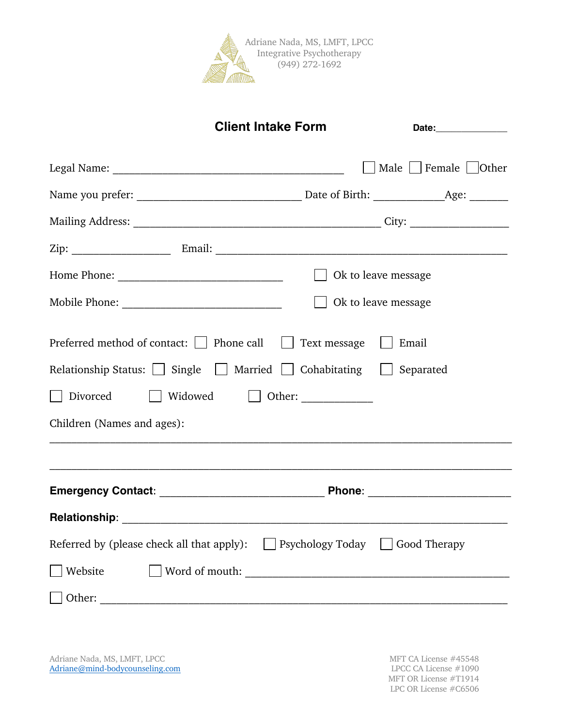

|                                                                                                                                                                                 | <b>Client Intake Form</b>                                                                        | Date:_______________        |  |  |  |
|---------------------------------------------------------------------------------------------------------------------------------------------------------------------------------|--------------------------------------------------------------------------------------------------|-----------------------------|--|--|--|
|                                                                                                                                                                                 |                                                                                                  | Male     Female     Other   |  |  |  |
|                                                                                                                                                                                 |                                                                                                  |                             |  |  |  |
|                                                                                                                                                                                 |                                                                                                  |                             |  |  |  |
|                                                                                                                                                                                 |                                                                                                  |                             |  |  |  |
|                                                                                                                                                                                 |                                                                                                  | Ok to leave message         |  |  |  |
|                                                                                                                                                                                 |                                                                                                  | $\vert$ Ok to leave message |  |  |  |
| Preferred method of contact: $\Box$ Phone call $\Box$<br>Relationship Status: $\Box$ Single $\Box$ Married $\Box$ Cohabitating $\Box$<br>Divorced<br>Children (Names and ages): | Text message<br>,我们的人们就会在这里的人们,我们的人们就会在这里,我们的人们就会在这里,我们的人们就会在这里,我们的人们就会在这里,我们的人们就会在这里,我们的人们就会在这里 | Email<br>Separated          |  |  |  |
|                                                                                                                                                                                 |                                                                                                  |                             |  |  |  |
|                                                                                                                                                                                 |                                                                                                  |                             |  |  |  |
| Referred by (please check all that apply): $\Box$ Psychology Today $\Box$                                                                                                       |                                                                                                  | Good Therapy                |  |  |  |
| Website                                                                                                                                                                         |                                                                                                  |                             |  |  |  |
|                                                                                                                                                                                 |                                                                                                  |                             |  |  |  |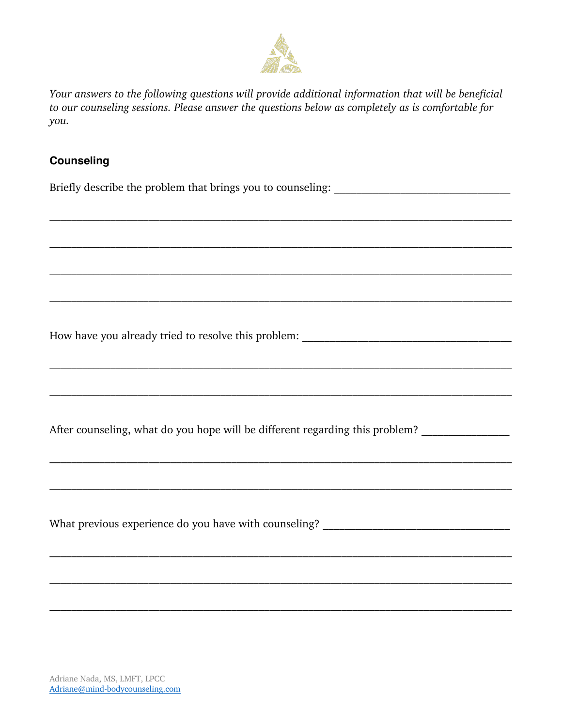

Your answers to the following questions will provide additional information that will be beneficial to our counseling sessions. Please answer the questions below as completely as is comfortable for you.

## **Counseling**

Briefly describe the problem that brings you to counseling: \_\_\_\_\_\_\_\_\_\_\_\_\_\_\_\_\_\_\_\_\_

After counseling, what do you hope will be different regarding this problem?

What previous experience do you have with counseling?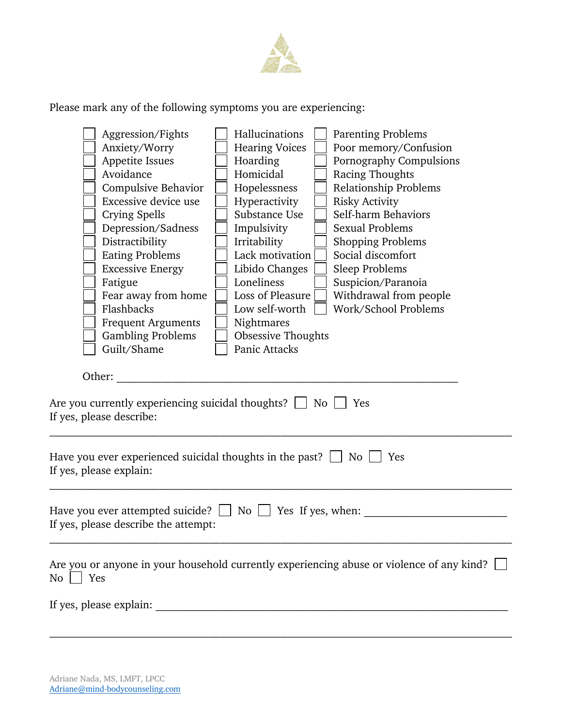

Please mark any of the following symptoms you are experiencing:

|                                                                                                                                                                                                                                                                                                       | Aggression/Fights                    |  | Hallucinations            |  | <b>Parenting Problems</b>                                                                 |
|-------------------------------------------------------------------------------------------------------------------------------------------------------------------------------------------------------------------------------------------------------------------------------------------------------|--------------------------------------|--|---------------------------|--|-------------------------------------------------------------------------------------------|
|                                                                                                                                                                                                                                                                                                       | Anxiety/Worry                        |  | <b>Hearing Voices</b>     |  | Poor memory/Confusion                                                                     |
|                                                                                                                                                                                                                                                                                                       | Appetite Issues                      |  | Hoarding                  |  | Pornography Compulsions                                                                   |
|                                                                                                                                                                                                                                                                                                       | Avoidance                            |  | Homicidal                 |  | Racing Thoughts                                                                           |
|                                                                                                                                                                                                                                                                                                       | Compulsive Behavior                  |  | Hopelessness              |  | <b>Relationship Problems</b>                                                              |
|                                                                                                                                                                                                                                                                                                       | Excessive device use                 |  | Hyperactivity             |  | <b>Risky Activity</b>                                                                     |
|                                                                                                                                                                                                                                                                                                       | Crying Spells                        |  | Substance Use             |  | Self-harm Behaviors                                                                       |
|                                                                                                                                                                                                                                                                                                       | Depression/Sadness                   |  | Impulsivity               |  | <b>Sexual Problems</b>                                                                    |
|                                                                                                                                                                                                                                                                                                       | Distractibility                      |  | Irritability              |  | <b>Shopping Problems</b>                                                                  |
|                                                                                                                                                                                                                                                                                                       | <b>Eating Problems</b>               |  | Lack motivation           |  | Social discomfort                                                                         |
|                                                                                                                                                                                                                                                                                                       | <b>Excessive Energy</b>              |  | Libido Changes            |  | <b>Sleep Problems</b>                                                                     |
|                                                                                                                                                                                                                                                                                                       | Fatigue                              |  | Loneliness                |  | Suspicion/Paranoia                                                                        |
|                                                                                                                                                                                                                                                                                                       | Fear away from home                  |  | Loss of Pleasure          |  | Withdrawal from people                                                                    |
|                                                                                                                                                                                                                                                                                                       | Flashbacks                           |  | Low self-worth            |  | Work/School Problems                                                                      |
|                                                                                                                                                                                                                                                                                                       | <b>Frequent Arguments</b>            |  | Nightmares                |  |                                                                                           |
|                                                                                                                                                                                                                                                                                                       | <b>Gambling Problems</b>             |  | <b>Obsessive Thoughts</b> |  |                                                                                           |
|                                                                                                                                                                                                                                                                                                       | Guilt/Shame                          |  | Panic Attacks             |  |                                                                                           |
| Other:<br>Are you currently experiencing suicidal thoughts? $\Box$ No $\Box$<br>Yes<br>If yes, please describe:<br>Have you ever experienced suicidal thoughts in the past? $\Box$ No $\Box$<br>Yes<br>If yes, please explain:<br>Have you ever attempted suicide? $\Box$ No $\Box$ Yes If yes, when: |                                      |  |                           |  |                                                                                           |
|                                                                                                                                                                                                                                                                                                       | If yes, please describe the attempt: |  |                           |  |                                                                                           |
| $\overline{\text{No}}$<br>  Yes                                                                                                                                                                                                                                                                       |                                      |  |                           |  | Are you or anyone in your household currently experiencing abuse or violence of any kind? |
|                                                                                                                                                                                                                                                                                                       |                                      |  |                           |  |                                                                                           |
|                                                                                                                                                                                                                                                                                                       |                                      |  |                           |  |                                                                                           |
|                                                                                                                                                                                                                                                                                                       |                                      |  |                           |  |                                                                                           |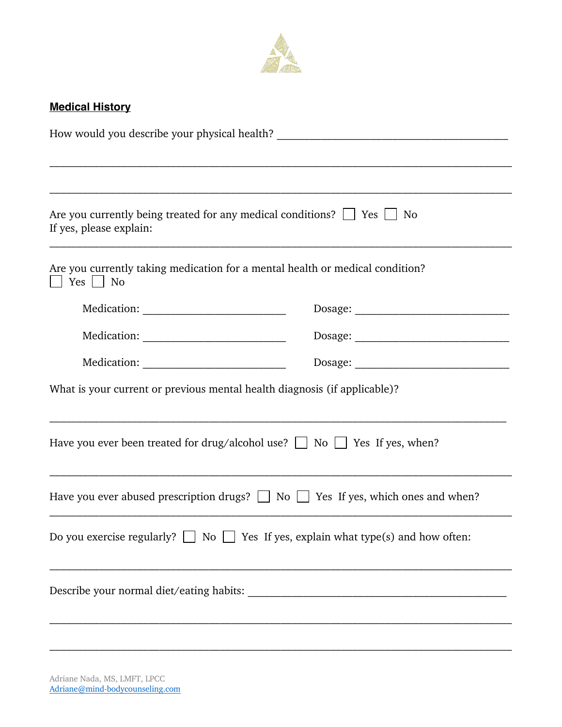

# **Medical History**

| Are you currently being treated for any medical conditions? $\Box$ Yes $\Box$ No<br>If yes, please explain: |  |
|-------------------------------------------------------------------------------------------------------------|--|
| Are you currently taking medication for a mental health or medical condition?<br>$Yes \mid \mid No$         |  |
|                                                                                                             |  |
|                                                                                                             |  |
|                                                                                                             |  |
| What is your current or previous mental health diagnosis (if applicable)?                                   |  |
| Have you ever been treated for drug/alcohol use? $\Box$ No $\Box$ Yes If yes, when?                         |  |
| Have you ever abused prescription drugs? $\Box$ No $\Box$ Yes If yes, which ones and when?                  |  |
| Do you exercise regularly? $\Box$ No $\Box$ Yes If yes, explain what type(s) and how often:                 |  |
|                                                                                                             |  |
|                                                                                                             |  |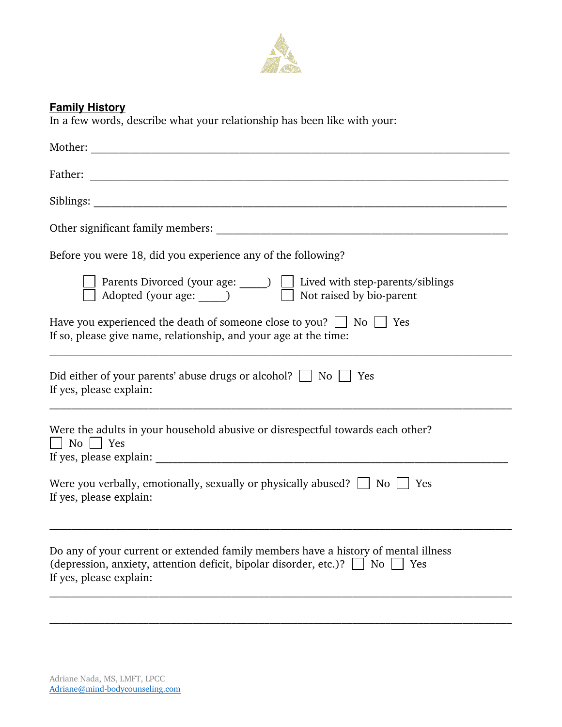

## **Family History**

In a few words, describe what your relationship has been like with your:

| Mother:                                                                                                                                                                                                 |
|---------------------------------------------------------------------------------------------------------------------------------------------------------------------------------------------------------|
| Father:                                                                                                                                                                                                 |
| Siblings:                                                                                                                                                                                               |
|                                                                                                                                                                                                         |
| Before you were 18, did you experience any of the following?                                                                                                                                            |
| ] Parents Divorced (your age: ◯ ) □ Lived with step-parents/siblings<br>] Adopted (your age: ◯ Not raised by bio-parent                                                                                 |
| Have you experienced the death of someone close to you? $\Box$ No $\Box$ Yes<br>If so, please give name, relationship, and your age at the time:                                                        |
| Did either of your parents' abuse drugs or alcohol? $\Box$ No $\Box$ Yes<br>If yes, please explain:                                                                                                     |
| Were the adults in your household abusive or disrespectful towards each other?<br>  No     Yes                                                                                                          |
| Were you verbally, emotionally, sexually or physically abused? $\Box$ No $\Box$ Yes<br>If yes, please explain:                                                                                          |
| Do any of your current or extended family members have a history of mental illness<br>(depression, anxiety, attention deficit, bipolar disorder, etc.)? $\Box$ No $\Box$ Yes<br>If yes, please explain: |
|                                                                                                                                                                                                         |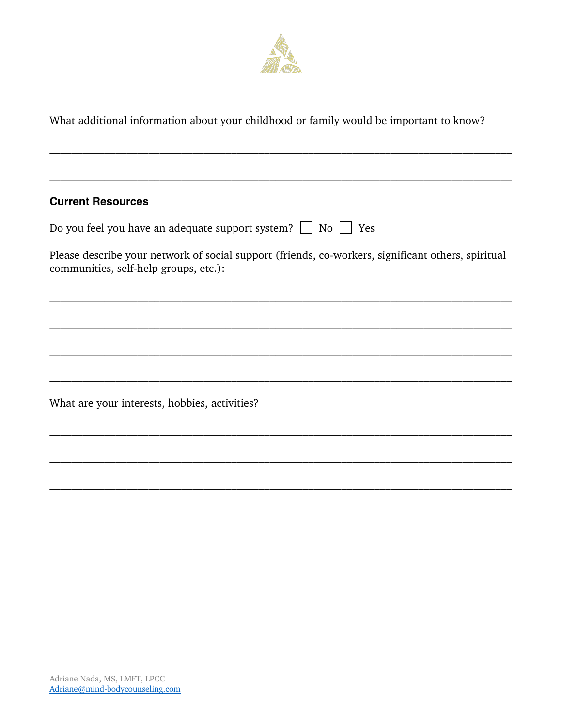

What additional information about your childhood or family would be important to know?

# **Current Resources**

|  | Do you feel you have an adequate support system? $\Box$ No $\Box$ Yes |  |  |
|--|-----------------------------------------------------------------------|--|--|
|  |                                                                       |  |  |

Please describe your network of social support (friends, co-workers, significant others, spiritual communities, self-help groups, etc.):

What are your interests, hobbies, activities?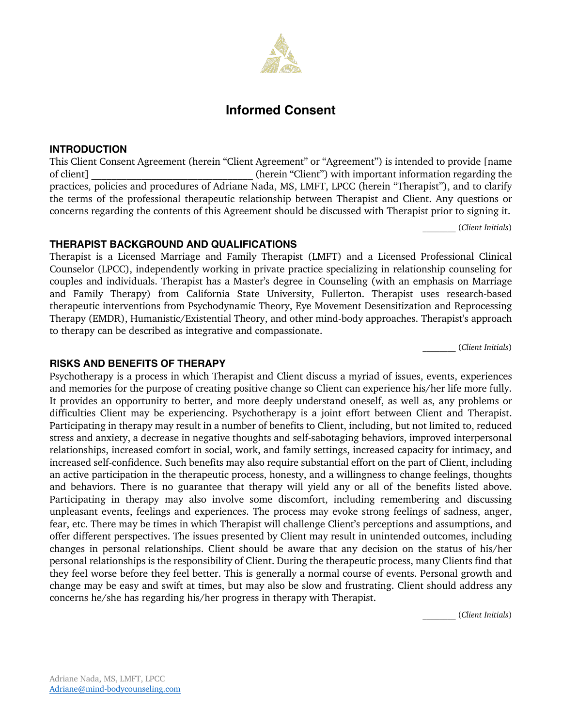# **Informed Consent**

#### **INTRODUCTION**

This Client Consent Agreement (herein "Client Agreement" or "Agreement") is intended to provide [name of client] \_\_\_\_\_\_\_\_\_\_\_\_\_\_\_\_\_\_\_\_\_\_\_\_\_\_\_\_\_\_\_\_ (herein "Client") with important information regarding the practices, policies and procedures of Adriane Nada, MS, LMFT, LPCC (herein "Therapist"), and to clarify the terms of the professional therapeutic relationship between Therapist and Client. Any questions or concerns regarding the contents of this Agreement should be discussed with Therapist prior to signing it.

\_\_\_\_\_\_\_\_ (*Client Initials*)

#### **THERAPIST BACKGROUND AND QUALIFICATIONS**

Therapist is a Licensed Marriage and Family Therapist (LMFT) and a Licensed Professional Clinical Counselor (LPCC), independently working in private practice specializing in relationship counseling for couples and individuals. Therapist has a Master's degree in Counseling (with an emphasis on Marriage and Family Therapy) from California State University, Fullerton. Therapist uses research-based therapeutic interventions from Psychodynamic Theory, Eye Movement Desensitization and Reprocessing Therapy (EMDR), Humanistic/Existential Theory, and other mind-body approaches. Therapist's approach to therapy can be described as integrative and compassionate.

\_\_\_\_\_\_\_\_ (*Client Initials*)

#### **RISKS AND BENEFITS OF THERAPY**

Psychotherapy is a process in which Therapist and Client discuss a myriad of issues, events, experiences and memories for the purpose of creating positive change so Client can experience his/her life more fully. It provides an opportunity to better, and more deeply understand oneself, as well as, any problems or difficulties Client may be experiencing. Psychotherapy is a joint effort between Client and Therapist. Participating in therapy may result in a number of benefits to Client, including, but not limited to, reduced stress and anxiety, a decrease in negative thoughts and self-sabotaging behaviors, improved interpersonal relationships, increased comfort in social, work, and family settings, increased capacity for intimacy, and increased self-confidence. Such benefits may also require substantial effort on the part of Client, including an active participation in the therapeutic process, honesty, and a willingness to change feelings, thoughts and behaviors. There is no guarantee that therapy will yield any or all of the benefits listed above. Participating in therapy may also involve some discomfort, including remembering and discussing unpleasant events, feelings and experiences. The process may evoke strong feelings of sadness, anger, fear, etc. There may be times in which Therapist will challenge Client's perceptions and assumptions, and offer different perspectives. The issues presented by Client may result in unintended outcomes, including changes in personal relationships. Client should be aware that any decision on the status of his/her personal relationships is the responsibility of Client. During the therapeutic process, many Clients find that they feel worse before they feel better. This is generally a normal course of events. Personal growth and change may be easy and swift at times, but may also be slow and frustrating. Client should address any concerns he/she has regarding his/her progress in therapy with Therapist.

\_\_\_\_\_\_\_\_ (*Client Initials*)

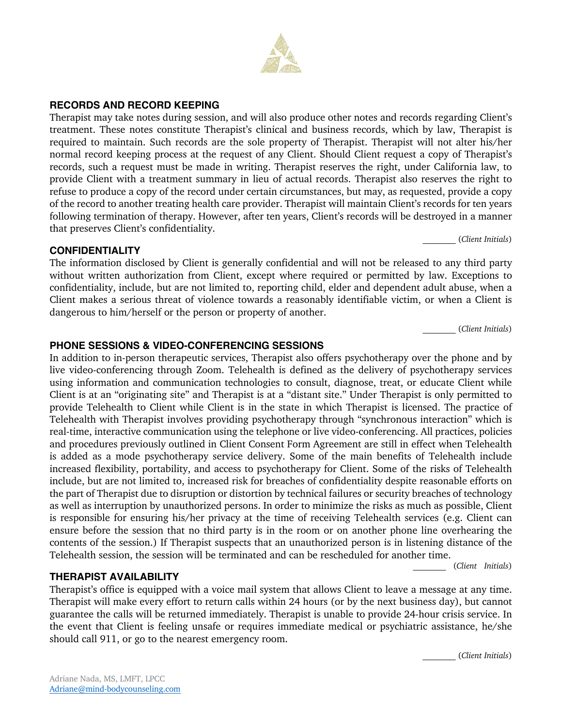## **RECORDS AND RECORD KEEPING**

Therapist may take notes during session, and will also produce other notes and records regarding Client's treatment. These notes constitute Therapist's clinical and business records, which by law, Therapist is required to maintain. Such records are the sole property of Therapist. Therapist will not alter his/her normal record keeping process at the request of any Client. Should Client request a copy of Therapist's records, such a request must be made in writing. Therapist reserves the right, under California law, to provide Client with a treatment summary in lieu of actual records. Therapist also reserves the right to refuse to produce a copy of the record under certain circumstances, but may, as requested, provide a copy of the record to another treating health care provider. Therapist will maintain Client's records for ten years following termination of therapy. However, after ten years, Client's records will be destroyed in a manner that preserves Client's confidentiality.

### **CONFIDENTIALITY**

The information disclosed by Client is generally confidential and will not be released to any third party without written authorization from Client, except where required or permitted by law. Exceptions to confidentiality, include, but are not limited to, reporting child, elder and dependent adult abuse, when a Client makes a serious threat of violence towards a reasonably identifiable victim, or when a Client is dangerous to him/herself or the person or property of another.

\_\_\_\_\_\_\_\_ (*Client Initials*)

#### **PHONE SESSIONS & VIDEO-CONFERENCING SESSIONS**

In addition to in-person therapeutic services, Therapist also offers psychotherapy over the phone and by live video-conferencing through Zoom. Telehealth is defined as the delivery of psychotherapy services using information and communication technologies to consult, diagnose, treat, or educate Client while Client is at an "originating site" and Therapist is at a "distant site." Under Therapist is only permitted to provide Telehealth to Client while Client is in the state in which Therapist is licensed. The practice of Telehealth with Therapist involves providing psychotherapy through "synchronous interaction" which is real-time, interactive communication using the telephone or live video-conferencing. All practices, policies and procedures previously outlined in Client Consent Form Agreement are still in effect when Telehealth is added as a mode psychotherapy service delivery. Some of the main benefits of Telehealth include increased flexibility, portability, and access to psychotherapy for Client. Some of the risks of Telehealth include, but are not limited to, increased risk for breaches of confidentiality despite reasonable efforts on the part of Therapist due to disruption or distortion by technical failures or security breaches of technology as well as interruption by unauthorized persons. In order to minimize the risks as much as possible, Client is responsible for ensuring his/her privacy at the time of receiving Telehealth services (e.g. Client can ensure before the session that no third party is in the room or on another phone line overhearing the contents of the session.) If Therapist suspects that an unauthorized person is in listening distance of the Telehealth session, the session will be terminated and can be rescheduled for another time.

\_\_\_\_\_\_\_\_ (*Client Initials*)

#### **THERAPIST AVAILABILITY**

Therapist's office is equipped with a voice mail system that allows Client to leave a message at any time. Therapist will make every effort to return calls within 24 hours (or by the next business day), but cannot guarantee the calls will be returned immediately. Therapist is unable to provide 24-hour crisis service. In the event that Client is feeling unsafe or requires immediate medical or psychiatric assistance, he/she should call 911, or go to the nearest emergency room.

\_\_\_\_\_\_\_\_ (*Client Initials*)



\_\_\_\_\_\_\_\_ (*Client Initials*)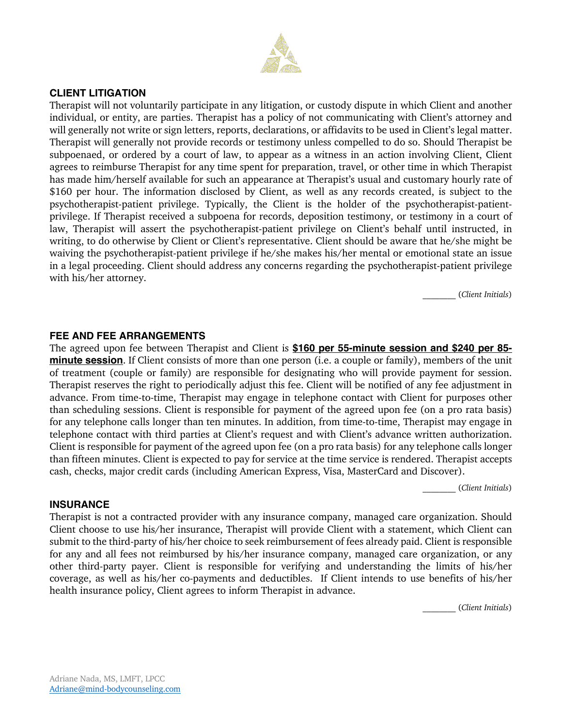

#### **CLIENT LITIGATION**

Therapist will not voluntarily participate in any litigation, or custody dispute in which Client and another individual, or entity, are parties. Therapist has a policy of not communicating with Client's attorney and will generally not write or sign letters, reports, declarations, or affidavits to be used in Client's legal matter. Therapist will generally not provide records or testimony unless compelled to do so. Should Therapist be subpoenaed, or ordered by a court of law, to appear as a witness in an action involving Client, Client agrees to reimburse Therapist for any time spent for preparation, travel, or other time in which Therapist has made him/herself available for such an appearance at Therapist's usual and customary hourly rate of \$160 per hour. The information disclosed by Client, as well as any records created, is subject to the psychotherapist-patient privilege. Typically, the Client is the holder of the psychotherapist-patientprivilege. If Therapist received a subpoena for records, deposition testimony, or testimony in a court of law, Therapist will assert the psychotherapist-patient privilege on Client's behalf until instructed, in writing, to do otherwise by Client or Client's representative. Client should be aware that he/she might be waiving the psychotherapist-patient privilege if he/she makes his/her mental or emotional state an issue in a legal proceeding. Client should address any concerns regarding the psychotherapist-patient privilege with his/her attorney.

\_\_\_\_\_\_\_\_ (*Client Initials*)

#### **FEE AND FEE ARRANGEMENTS**

The agreed upon fee between Therapist and Client is **\$160 per 55-minute session and \$240 per 85 minute session**. If Client consists of more than one person (i.e. a couple or family), members of the unit of treatment (couple or family) are responsible for designating who will provide payment for session. Therapist reserves the right to periodically adjust this fee. Client will be notified of any fee adjustment in advance. From time-to-time, Therapist may engage in telephone contact with Client for purposes other than scheduling sessions. Client is responsible for payment of the agreed upon fee (on a pro rata basis) for any telephone calls longer than ten minutes. In addition, from time-to-time, Therapist may engage in telephone contact with third parties at Client's request and with Client's advance written authorization. Client is responsible for payment of the agreed upon fee (on a pro rata basis) for any telephone calls longer than fifteen minutes. Client is expected to pay for service at the time service is rendered. Therapist accepts cash, checks, major credit cards (including American Express, Visa, MasterCard and Discover).

\_\_\_\_\_\_\_\_ (*Client Initials*)

#### **INSURANCE**

Therapist is not a contracted provider with any insurance company, managed care organization. Should Client choose to use his/her insurance, Therapist will provide Client with a statement, which Client can submit to the third-party of his/her choice to seek reimbursement of fees already paid. Client is responsible for any and all fees not reimbursed by his/her insurance company, managed care organization, or any other third-party payer. Client is responsible for verifying and understanding the limits of his/her coverage, as well as his/her co-payments and deductibles. If Client intends to use benefits of his/her health insurance policy, Client agrees to inform Therapist in advance.

\_\_\_\_\_\_\_\_ (*Client Initials*)